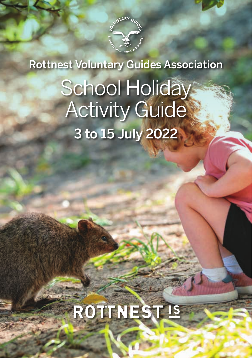

## Rottnest Voluntary Guides Association

# School Holiday **Activity Guide** 3 to 15 July 2022

# ROTTNEST IS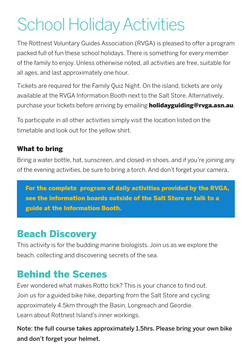## School Holiday Activities

The Rottnest Voluntary Guides Association (RVGA) is pleased to offer a program packed full of fun these school holidays. There is something for every member of the family to enjoy. Unless otherwise noted, all activities are free, suitable for all ages, and last approximately one hour.

Tickets are required for the Family Quiz Night. On the island, tickets are only available at the RVGA Information Booth next to the Salt Store. Alternatively, purchase your tickets before arriving by emailing **holidayguiding@rvga.asn.au**.

To participate in all other activities simply visit the location listed on the timetable and look out for the yellow shirt.

#### What to bring

Bring a water bottle, hat, sunscreen, and closed-in shoes, and if you're joining any of the evening activities, be sure to bring a torch. And don't forget your camera.

For the complete program of daily activities provided by the RVGA, see the information boards outside of the Salt Store or talk to a guide at the Information Booth.

#### Beach Discovery

This activity is for the budding marine biologists. Join us as we explore the beach, collecting and discovering secrets of the sea.

#### Behind the Scenes

Ever wondered what makes Rotto tick? This is your chance to find out. Join us for a guided bike hike, departing from the Salt Store and cycling approximately 4.5km through the Basin, Longreach and Geordie. Learn about Rottnest Island's inner workings.

Note: the full course takes approximately 1.5hrs. Please bring your own bike and don't forget your helmet.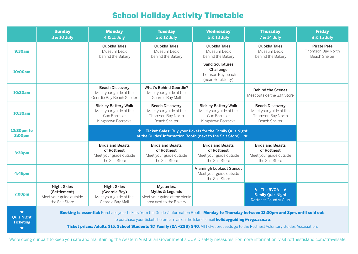## School Holiday Activity Timetable

|                                                             | <b>Sunday</b><br>3 & 10 July                                                                                                                                                                                                                                                                                                                                                                    | <b>Monday</b><br>4 & 11 July                                                                                              | <b>Tuesday</b><br>5 & 12 July                                                                 | <b>Wednesday</b><br>6 & 13 July                                                              | <b>Thursday</b><br>7 & 14 July                                                                | <b>Friday</b><br>8 & 15 July                                    |
|-------------------------------------------------------------|-------------------------------------------------------------------------------------------------------------------------------------------------------------------------------------------------------------------------------------------------------------------------------------------------------------------------------------------------------------------------------------------------|---------------------------------------------------------------------------------------------------------------------------|-----------------------------------------------------------------------------------------------|----------------------------------------------------------------------------------------------|-----------------------------------------------------------------------------------------------|-----------------------------------------------------------------|
| <b>9:30am</b>                                               |                                                                                                                                                                                                                                                                                                                                                                                                 | Quokka Tales<br>Museum Deck<br>behind the Bakery                                                                          | Quokka Tales<br>Museum Deck<br>behind the Bakery                                              | Quokka Tales<br>Museum Deck<br>behind the Bakery                                             | Quokka Tales<br>Museum Deck<br>behind the Bakery                                              | <b>Pirate Pete</b><br>Thomson Bay North<br><b>Beach Shelter</b> |
| 10:00am                                                     |                                                                                                                                                                                                                                                                                                                                                                                                 |                                                                                                                           |                                                                                               | <b>Sand Sculptures</b><br>Challenge<br>Thomson Bay beach<br>(near Hotel Jetty)               |                                                                                               |                                                                 |
| 10:30am                                                     |                                                                                                                                                                                                                                                                                                                                                                                                 | <b>Beach Discovery</b><br>Meet your guide at the<br>Geordie Bay Beach Shelter                                             | <b>What's Behind Geordie?</b><br>Meet your guide at the<br>Geordie Bay Mall                   |                                                                                              | <b>Behind the Scenes</b><br>Meet outside the Salt Store                                       |                                                                 |
| 10:30am                                                     |                                                                                                                                                                                                                                                                                                                                                                                                 | <b>Bickley Battery Walk</b><br>Meet your guide at the<br>Gun Barrel at<br>Kingstown Barracks                              | <b>Beach Discovery</b><br>Meet your guide at the<br>Thomson Bay North<br><b>Beach Shelter</b> | <b>Bickley Battery Walk</b><br>Meet your guide at the<br>Gun Barrel at<br>Kingstown Barracks | <b>Beach Discovery</b><br>Meet your guide at the<br>Thomson Bay North<br><b>Beach Shelter</b> |                                                                 |
| 12:30pm to<br><b>3:00pm</b>                                 |                                                                                                                                                                                                                                                                                                                                                                                                 | ★ Ticket Sales: Buy your tickets for the Family Quiz Night<br>at the Guides' Information Booth (next to the Salt Store) ★ |                                                                                               |                                                                                              |                                                                                               |                                                                 |
| 3:30pm                                                      |                                                                                                                                                                                                                                                                                                                                                                                                 | <b>Birds and Beasts</b><br>of Rottnest<br>Meet your guide outside<br>the Salt Store                                       | <b>Birds and Beasts</b><br>of Rottnest<br>Meet your guide outside<br>the Salt Store           | <b>Birds and Beasts</b><br>of Rottnest<br>Meet your guide outside<br>the Salt Store          | <b>Birds and Beasts</b><br>of Rottnest<br>Meet your guide outside<br>the Salt Store           |                                                                 |
| 4:45pm                                                      |                                                                                                                                                                                                                                                                                                                                                                                                 |                                                                                                                           |                                                                                               | <b>Vlamingh Lookout Sunset</b><br>Meet your guide outside<br>the Salt Store                  |                                                                                               |                                                                 |
| 7:00pm                                                      | <b>Night Skies</b><br>(Settlement)<br>Meet your guide outside<br>the Salt Store                                                                                                                                                                                                                                                                                                                 | <b>Night Skies</b><br>(Geordie Bay)<br>Meet your guide at the<br>Geordie Bay Mall                                         | Mysteries,<br>Myths & Legends<br>Meet your guide at the picnic<br>area next to the Bakery     |                                                                                              | $\star$ The RVGA $\star$<br><b>Family Quiz Night</b><br><b>Rottnest Country Club</b>          |                                                                 |
| $\star$<br><b>Quiz Night</b><br><b>Ticketing</b><br>$\star$ | Booking is essential: Purchase your tickets from the Guides' Information Booth, Monday to Thursday between 12:30pm and 3pm, until sold out.<br>To purchase your tickets before arrival on the Island, email <b>holidayguiding@rvga.asn.au</b> .<br>Ticket prices: Adults \$15, School Students \$7, Family (2A +2SS) \$40. All ticket proceeds go to the Rottnest Voluntary Guides Association. |                                                                                                                           |                                                                                               |                                                                                              |                                                                                               |                                                                 |

We're doing our part to keep you safe and maintaining the Western Australian Government's COVID safety measures. For more information, visit rottnestisland.com/travelsafe.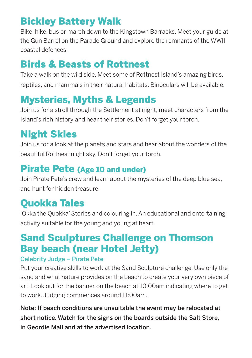### Bickley Battery Walk

Bike, hike, bus or march down to the Kingstown Barracks. Meet your guide at the Gun Barrel on the Parade Ground and explore the remnants of the WWII coastal defences.

#### Birds & Beasts of Rottnest

Take a walk on the wild side. Meet some of Rottnest Island's amazing birds, reptiles, and mammals in their natural habitats. Binoculars will be available.

### Mysteries, Myths & Legends

Join us for a stroll through the Settlement at night, meet characters from the Island's rich history and hear their stories. Don't forget your torch.

### Night Skies

Join us for a look at the planets and stars and hear about the wonders of the beautiful Rottnest night sky. Don't forget your torch.

#### Pirate Pete (Age 10 and under)

Join Pirate Pete's crew and learn about the mysteries of the deep blue sea, and hunt for hidden treasure.

#### Quokka Tales

'Okka the Quokka' Stories and colouring in. An educational and entertaining activity suitable for the young and young at heart.

### Sand Sculptures Challenge on Thomson Bay beach (near Hotel Jetty)

#### Celebrity Judge – Pirate Pete

Put your creative skills to work at the Sand Sculpture challenge. Use only the sand and what nature provides on the beach to create your very own piece of art. Look out for the banner on the beach at 10:00am indicating where to get to work. Judging commences around 11:00am.

Note: If beach conditions are unsuitable the event may be relocated at short notice. Watch for the signs on the boards outside the Salt Store, in Geordie Mall and at the advertised location.